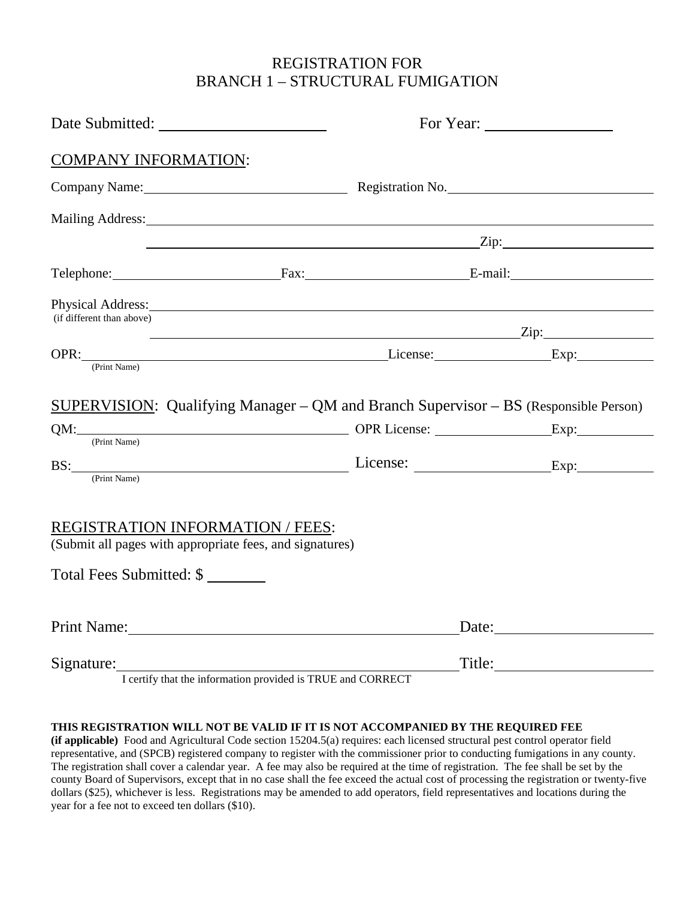#### REGISTRATION FOR BRANCH 1 – STRUCTURAL FUMIGATION

| <b>COMPANY INFORMATION:</b>                                                                         |                                                                                                                        |                                                                             |  |  |  |
|-----------------------------------------------------------------------------------------------------|------------------------------------------------------------------------------------------------------------------------|-----------------------------------------------------------------------------|--|--|--|
|                                                                                                     |                                                                                                                        | Company Name: Registration No.                                              |  |  |  |
|                                                                                                     | Mailing Address: Mailing Address:                                                                                      |                                                                             |  |  |  |
|                                                                                                     |                                                                                                                        | $\mathsf{Zip:}$ and $\mathsf{Zip:}$ and $\mathsf{Zip:}$ and $\mathsf{Zip:}$ |  |  |  |
|                                                                                                     | Telephone: Fax: E-mail:                                                                                                |                                                                             |  |  |  |
| (if different than above)                                                                           | Physical Address: 1988 and 2008 and 2008 and 2008 and 2008 and 2008 and 2008 and 2008 and 2008 and 2008 and 20         |                                                                             |  |  |  |
|                                                                                                     | OPR: Exp: Exp:                                                                                                         |                                                                             |  |  |  |
| (Print Name)                                                                                        | SUPERVISION: Qualifying Manager - QM and Branch Supervisor - BS (Responsible Person)<br>QM: Exp: Exp:<br>BS: Exp: Exp: |                                                                             |  |  |  |
| (Print Name)                                                                                        |                                                                                                                        |                                                                             |  |  |  |
| <b>REGISTRATION INFORMATION / FEES:</b><br>(Submit all pages with appropriate fees, and signatures) |                                                                                                                        |                                                                             |  |  |  |
| Total Fees Submitted: \$                                                                            |                                                                                                                        |                                                                             |  |  |  |
| Print Name: 1988                                                                                    |                                                                                                                        |                                                                             |  |  |  |
|                                                                                                     |                                                                                                                        |                                                                             |  |  |  |

I certify that the information provided is TRUE and CORRECT

#### **THIS REGISTRATION WILL NOT BE VALID IF IT IS NOT ACCOMPANIED BY THE REQUIRED FEE**

 **(if applicable)** Food and Agricultural Code section 15204.5(a) requires: each licensed structural pest control operator field representative, and (SPCB) registered company to register with the commissioner prior to conducting fumigations in any county. The registration shall cover a calendar year. A fee may also be required at the time of registration. The fee shall be set by the county Board of Supervisors, except that in no case shall the fee exceed the actual cost of processing the registration or twenty-five dollars (\$25), whichever is less. Registrations may be amended to add operators, field representatives and locations during the year for a fee not to exceed ten dollars (\$10).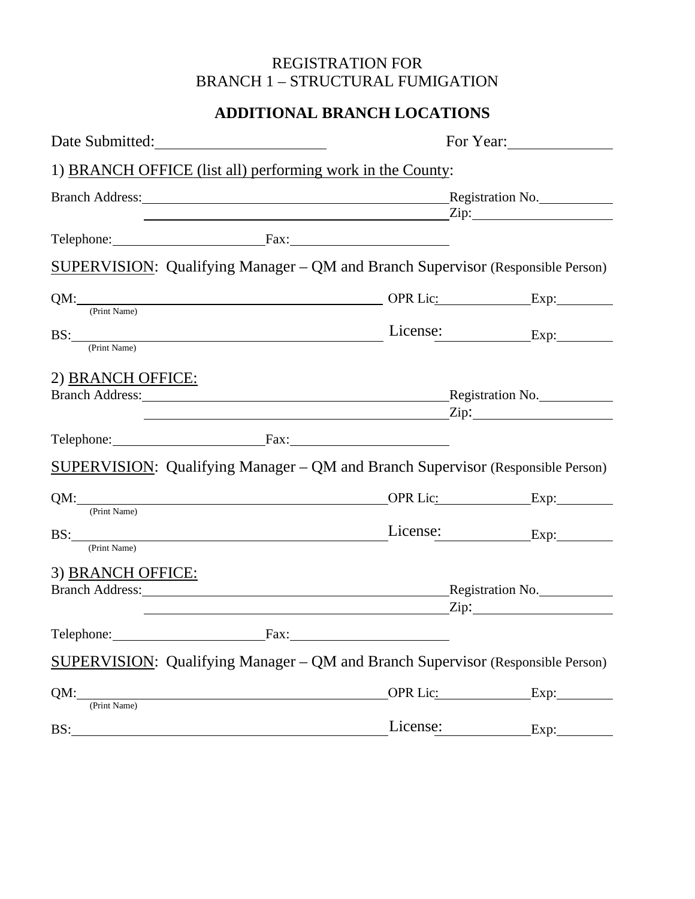# REGISTRATION FOR BRANCH 1 – STRUCTURAL FUMIGATION

## **ADDITIONAL BRANCH LOCATIONS**

| Date Submitted:                                                                 |              | For Year:               |               |  |  |  |  |
|---------------------------------------------------------------------------------|--------------|-------------------------|---------------|--|--|--|--|
| 1) BRANCH OFFICE (list all) performing work in the County:                      |              |                         |               |  |  |  |  |
| Branch Address: Registration No. Registration No.                               |              |                         |               |  |  |  |  |
| Telephone: Fax: Fax:                                                            |              |                         |               |  |  |  |  |
| SUPERVISION: Qualifying Manager - QM and Branch Supervisor (Responsible Person) |              |                         |               |  |  |  |  |
| QM: CPrint Name) OPR Lic: Exp: Exp:                                             |              |                         |               |  |  |  |  |
| BS: Exp: Exp: Exp:                                                              |              |                         |               |  |  |  |  |
| 2) BRANCH OFFICE:<br>Branch Address: Registration No.                           |              | $\frac{1}{\text{Zip:}}$ |               |  |  |  |  |
| Telephone: Fax: Fax:                                                            |              |                         |               |  |  |  |  |
| SUPERVISION: Qualifying Manager - QM and Branch Supervisor (Responsible Person) |              |                         |               |  |  |  |  |
| (Print Name)                                                                    |              |                         | OPR Lic: Exp: |  |  |  |  |
| BS: <u>(Print Name)</u>                                                         |              |                         | License: Exp: |  |  |  |  |
| 3) BRANCH OFFICE:<br>Branch Address: Registration No.                           |              |                         |               |  |  |  |  |
|                                                                                 |              | $\frac{1}{2}$ Zip:      |               |  |  |  |  |
| Telephone:                                                                      | Fax:         |                         |               |  |  |  |  |
| SUPERVISION: Qualifying Manager - QM and Branch Supervisor (Responsible Person) |              |                         |               |  |  |  |  |
| QM:                                                                             | (Print Name) | OPR Lic: Exp:           |               |  |  |  |  |
| BS:                                                                             |              | License:                | $\exp$ :      |  |  |  |  |